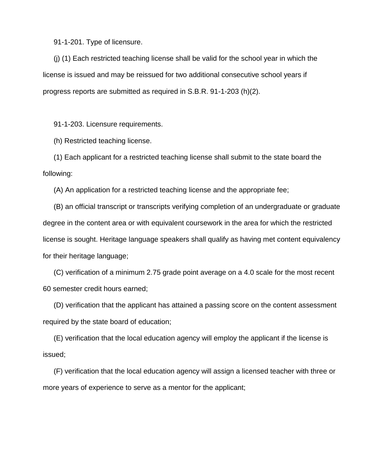91-1-201. Type of licensure.

(j) (1) Each restricted teaching license shall be valid for the school year in which the license is issued and may be reissued for two additional consecutive school years if progress reports are submitted as required in S.B.R. 91-1-203 (h)(2).

91-1-203. Licensure requirements.

(h) Restricted teaching license.

(1) Each applicant for a restricted teaching license shall submit to the state board the following:

(A) An application for a restricted teaching license and the appropriate fee;

(B) an official transcript or transcripts verifying completion of an undergraduate or graduate degree in the content area or with equivalent coursework in the area for which the restricted license is sought. Heritage language speakers shall qualify as having met content equivalency for their heritage language;

(C) verification of a minimum 2.75 grade point average on a 4.0 scale for the most recent 60 semester credit hours earned;

(D) verification that the applicant has attained a passing score on the content assessment required by the state board of education;

(E) verification that the local education agency will employ the applicant if the license is issued;

(F) verification that the local education agency will assign a licensed teacher with three or more years of experience to serve as a mentor for the applicant;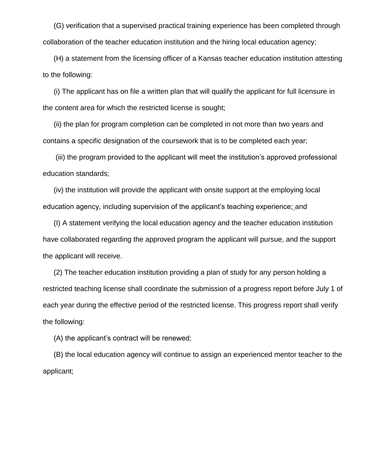(G) verification that a supervised practical training experience has been completed through collaboration of the teacher education institution and the hiring local education agency;

(H) a statement from the licensing officer of a Kansas teacher education institution attesting to the following:

(i) The applicant has on file a written plan that will qualify the applicant for full licensure in the content area for which the restricted license is sought;

(ii) the plan for program completion can be completed in not more than two years and contains a specific designation of the coursework that is to be completed each year;

(iii) the program provided to the applicant will meet the institution's approved professional education standards;

(iv) the institution will provide the applicant with onsite support at the employing local education agency, including supervision of the applicant's teaching experience; and

(I) A statement verifying the local education agency and the teacher education institution have collaborated regarding the approved program the applicant will pursue, and the support the applicant will receive.

(2) The teacher education institution providing a plan of study for any person holding a restricted teaching license shall coordinate the submission of a progress report before July 1 of each year during the effective period of the restricted license. This progress report shall verify the following:

(A) the applicant's contract will be renewed;

(B) the local education agency will continue to assign an experienced mentor teacher to the applicant;